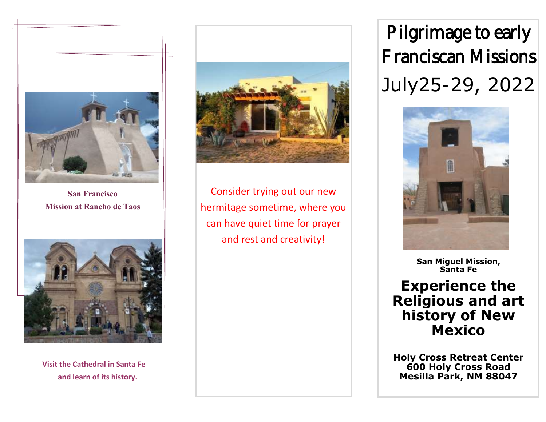

**San Francisco Mission at Rancho de Taos**



**Visit the Cathedral in Santa Fe and learn of its history.**



Consider trying out our new hermitage sometime, where you can have quiet time for prayer and rest and creativity!

Pilgrimage to early Franciscan Missions July25-29, 2022



**San Miguel Mission, Santa Fe**

**Experience the Religious and art history of New Mexico**

**Holy Cross Retreat Center 600 Holy Cross Road Mesilla Park, NM 88047**